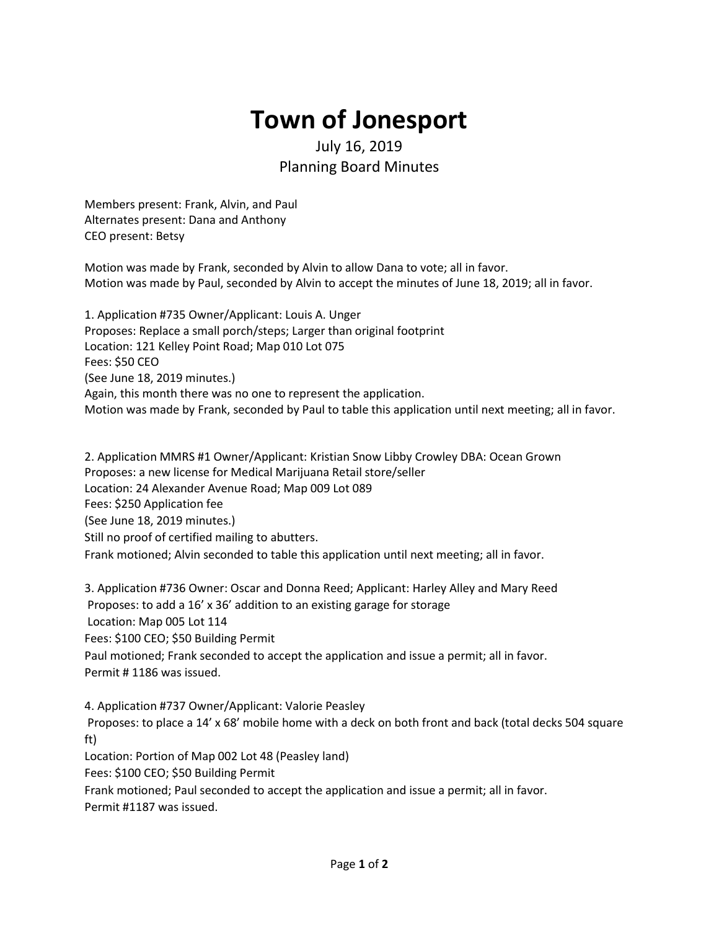## **Town of Jonesport**

## July 16, 2019 Planning Board Minutes

Members present: Frank, Alvin, and Paul Alternates present: Dana and Anthony CEO present: Betsy

Motion was made by Frank, seconded by Alvin to allow Dana to vote; all in favor. Motion was made by Paul, seconded by Alvin to accept the minutes of June 18, 2019; all in favor.

1. Application #735 Owner/Applicant: Louis A. Unger Proposes: Replace a small porch/steps; Larger than original footprint Location: 121 Kelley Point Road; Map 010 Lot 075 Fees: \$50 CEO (See June 18, 2019 minutes.) Again, this month there was no one to represent the application. Motion was made by Frank, seconded by Paul to table this application until next meeting; all in favor.

2. Application MMRS #1 Owner/Applicant: Kristian Snow Libby Crowley DBA: Ocean Grown Proposes: a new license for Medical Marijuana Retail store/seller Location: 24 Alexander Avenue Road; Map 009 Lot 089 Fees: \$250 Application fee (See June 18, 2019 minutes.) Still no proof of certified mailing to abutters. Frank motioned; Alvin seconded to table this application until next meeting; all in favor.

3. Application #736 Owner: Oscar and Donna Reed; Applicant: Harley Alley and Mary Reed Proposes: to add a 16' x 36' addition to an existing garage for storage Location: Map 005 Lot 114 Fees: \$100 CEO; \$50 Building Permit Paul motioned; Frank seconded to accept the application and issue a permit; all in favor. Permit # 1186 was issued.

4. Application #737 Owner/Applicant: Valorie Peasley

Proposes: to place a 14' x 68' mobile home with a deck on both front and back (total decks 504 square ft)

Location: Portion of Map 002 Lot 48 (Peasley land)

Fees: \$100 CEO; \$50 Building Permit

Frank motioned; Paul seconded to accept the application and issue a permit; all in favor.

Permit #1187 was issued.